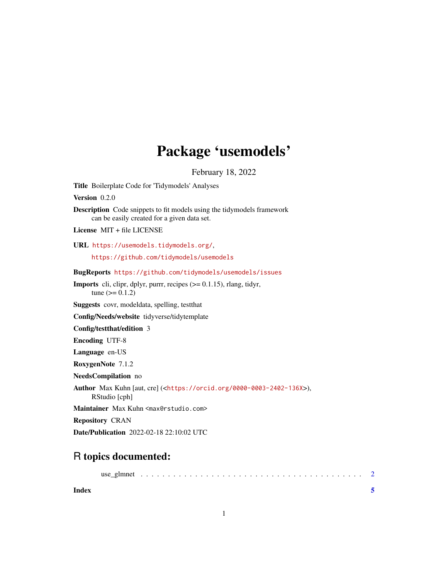## Package 'usemodels'

February 18, 2022

Title Boilerplate Code for 'Tidymodels' Analyses Version 0.2.0 Description Code snippets to fit models using the tidymodels framework can be easily created for a given data set. License MIT + file LICENSE URL <https://usemodels.tidymodels.org/>, <https://github.com/tidymodels/usemodels> BugReports <https://github.com/tidymodels/usemodels/issues> Imports cli, clipr, dplyr, purrr, recipes (>= 0.1.15), rlang, tidyr,  $tune (= 0.1.2)$ Suggests covr, modeldata, spelling, testthat Config/Needs/website tidyverse/tidytemplate Config/testthat/edition 3 Encoding UTF-8 Language en-US RoxygenNote 7.1.2 NeedsCompilation no Author Max Kuhn [aut, cre] (<<https://orcid.org/0000-0003-2402-136X>>), RStudio [cph] Maintainer Max Kuhn <max@rstudio.com> Repository CRAN Date/Publication 2022-02-18 22:10:02 UTC

### R topics documented:

| Index |  |  |  |  |  |  |  |  |  |  |  |  |  |  |  |  |  |
|-------|--|--|--|--|--|--|--|--|--|--|--|--|--|--|--|--|--|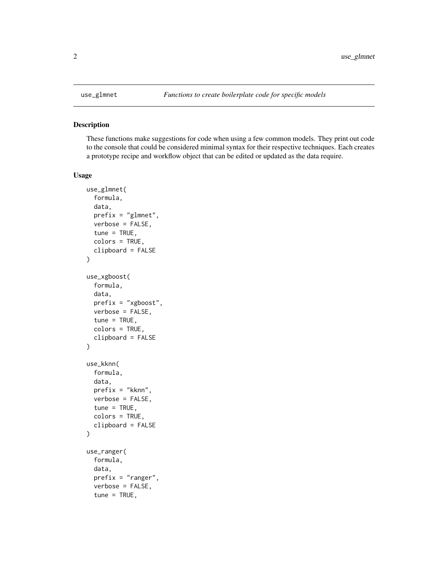#### Description

These functions make suggestions for code when using a few common models. They print out code to the console that could be considered minimal syntax for their respective techniques. Each creates a prototype recipe and workflow object that can be edited or updated as the data require.

#### Usage

```
use_glmnet(
  formula,
  data,
 prefix = "glmnet",
  verbose = FALSE,
  tune = TRUE,colors = TRUE,
  clipboard = FALSE
)
use_xgboost(
  formula,
  data,
 prefix = "xgboost",
 verbose = FALSE,
  tune = TRUE,colors = TRUE,
  clipboard = FALSE
\mathcal{L}use_kknn(
  formula,
  data,
 prefix = "kknn",
 verbose = FALSE,
  tune = TRUE,colors = TRUE,
  clipboard = FALSE
)
use_ranger(
  formula,
  data,
 prefix = "ranger",
  verbose = FALSE,
  tune = TRUE,
```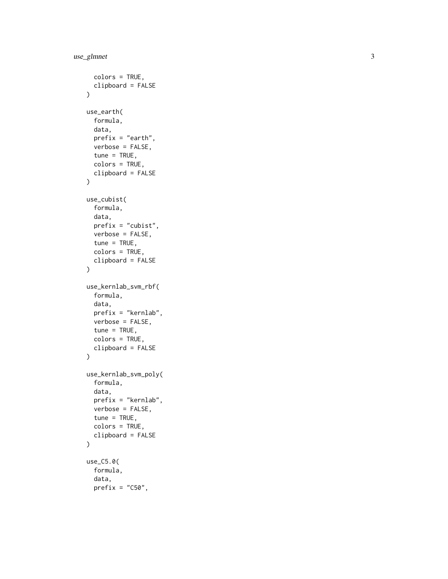```
colors = TRUE,
  clipboard = FALSE
\lambdause_earth(
  formula,
  data,
  prefix = "earth",
  verbose = FALSE,
  tune = TRUE,colors = TRUE,
  clipboard = FALSE
\mathcal{L}use_cubist(
  formula,
  data,
  prefix = "cubist",
  verbose = FALSE,
  tune = TRUE,colors = TRUE,
  clipboard = FALSE
\mathcal{L}use_kernlab_svm_rbf(
  formula,
  data,
  prefix = "kernlab",
  verbose = FALSE,
  tune = TRUE,colors = TRUE,
  clipboard = FALSE
\mathcal{L}use_kernlab_svm_poly(
  formula,
  data,
  prefix = "kernlab",
  verbose = FALSE,
  tune = TRUE,
  colors = TRUE,
  clipboard = FALSE
\mathcal{L}use_C5.0(
  formula,
  data,
  prefix = "C50",
```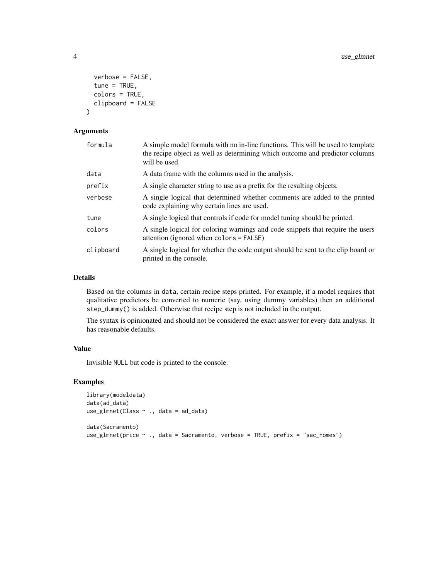```
verbose = FALSE,
  tune = TRUE,
  colors = TRUE,
  clipboard = FALSE
\lambda
```
#### Arguments

| formula   | A simple model formula with no in-line functions. This will be used to template<br>the recipe object as well as determining which outcome and predictor columns<br>will be used. |
|-----------|----------------------------------------------------------------------------------------------------------------------------------------------------------------------------------|
| data      | A data frame with the columns used in the analysis.                                                                                                                              |
| prefix    | A single character string to use as a prefix for the resulting objects.                                                                                                          |
| verbose   | A single logical that determined whether comments are added to the printed<br>code explaining why certain lines are used.                                                        |
| tune      | A single logical that controls if code for model tuning should be printed.                                                                                                       |
| colors    | A single logical for coloring warnings and code snippets that require the users<br>attention (ignored when colors = FALSE)                                                       |
| clipboard | A single logical for whether the code output should be sent to the clip board or<br>printed in the console.                                                                      |

#### Details

Based on the columns in data, certain recipe steps printed. For example, if a model requires that qualitative predictors be converted to numeric (say, using dummy variables) then an additional step\_dummy() is added. Otherwise that recipe step is not included in the output.

The syntax is opinionated and should not be considered the exact answer for every data analysis. It has reasonable defaults.

#### Value

Invisible NULL but code is printed to the console.

#### Examples

```
library(modeldata)
data(ad_data)
use_glmnet(Class ~ ., data = ad_data)
data(Sacramento)
use_glmnet(price ~ ., data = Sacramento, verbose = TRUE, prefix = "sac_homes")
```